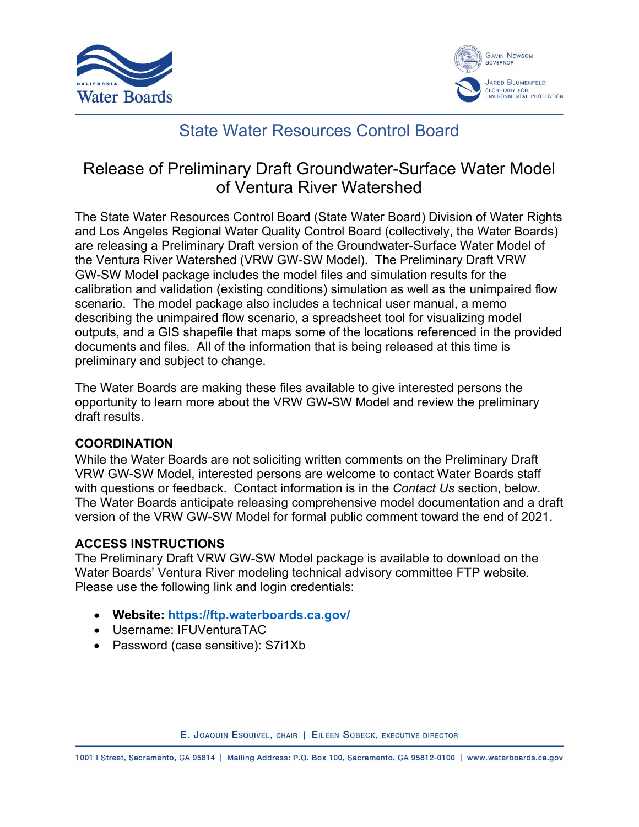



# State Water Resources Control Board

# Release of Preliminary Draft Groundwater-Surface Water Model of Ventura River Watershed

The State Water Resources Control Board (State Water Board) Division of Water Rights and Los Angeles Regional Water Quality Control Board (collectively, the Water Boards) are releasing a Preliminary Draft version of the Groundwater-Surface Water Model of the Ventura River Watershed (VRW GW-SW Model). The Preliminary Draft VRW GW-SW Model package includes the model files and simulation results for the calibration and validation (existing conditions) simulation as well as the unimpaired flow scenario. The model package also includes a technical user manual, a memo describing the unimpaired flow scenario, a spreadsheet tool for visualizing model outputs, and a GIS shapefile that maps some of the locations referenced in the provided documents and files. All of the information that is being released at this time is preliminary and subject to change.

The Water Boards are making these files available to give interested persons the opportunity to learn more about the VRW GW-SW Model and review the preliminary draft results.

### **COORDINATION**

While the Water Boards are not soliciting written comments on the Preliminary Draft VRW GW-SW Model, interested persons are welcome to contact Water Boards staff with questions or feedback. Contact information is in the *Contact Us* section, below. The Water Boards anticipate releasing comprehensive model documentation and a draft version of the VRW GW-SW Model for formal public comment toward the end of 2021.

### **ACCESS INSTRUCTIONS**

The Preliminary Draft VRW GW-SW Model package is available to download on the Water Boards' Ventura River modeling technical advisory committee FTP website. Please use the following link and login credentials:

- · **Website: <https://ftp.waterboards.ca.gov/>**
- · Username: IFUVenturaTAC
- Password (case sensitive): S7i1Xb

E. JOAQUIN ESQUIVEL, CHAIR | EILEEN SOBECK, EXECUTIVE DIRECTOR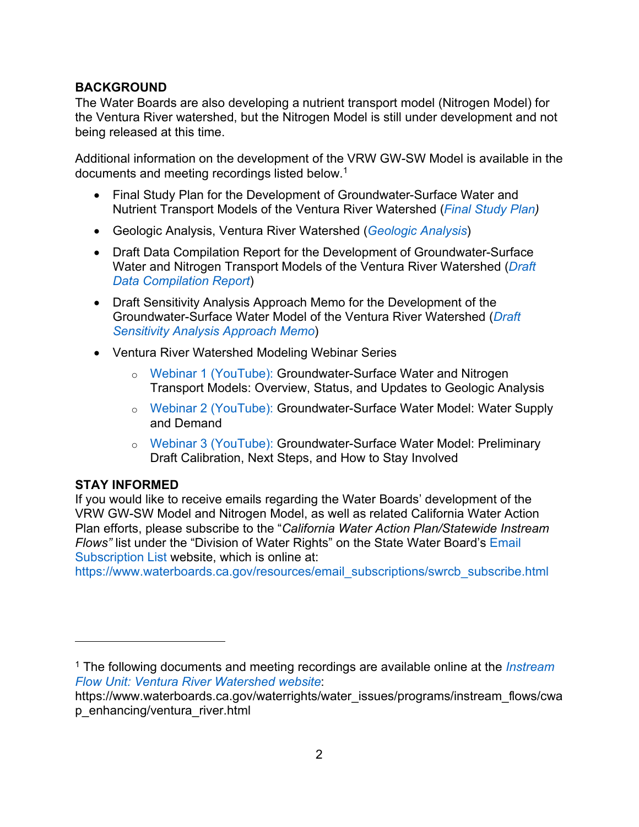### **BACKGROUND**

The Water Boards are also developing a nutrient transport model (Nitrogen Model) for the Ventura River watershed, but the Nitrogen Model is still under development and not being released at this time.

Additional information on the development of the VRW GW-SW Model is available in the documents and meeting recordings listed below. [1](#page-1-0)

- · Final Study Plan for the Development of Groundwater-Surface Water and Nutrient Transport Models of the Ventura River Watershed (*[Final Study Plan\)](https://www.waterboards.ca.gov/waterrights/water_issues/programs/instream_flows/cwap_enhancing/docs/vrw_sp_final.pdf)*
- · Geologic Analysis, Ventura River Watershed (*[Geologic Analysis](https://www.waterboards.ca.gov/waterrights/water_issues/programs/instream_flows/cwap_enhancing/docs/vrw_ga_final.pdf)*)
- · Draft Data Compilation Report for the Development of Groundwater-Surface Water and Nitrogen Transport Models of the Ventura River Watershed (*[Draft](https://www.waterboards.ca.gov/waterrights/water_issues/programs/instream_flows/cwap_enhancing/docs/vrw_dr_draft.zip)  [Data Compilation Report](https://www.waterboards.ca.gov/waterrights/water_issues/programs/instream_flows/cwap_enhancing/docs/vrw_dr_draft.zip)*)
- · Draft Sensitivity Analysis Approach Memo for the Development of the Groundwater-Surface Water Model of the Ventura River Watershed (*[Draft](https://www.waterboards.ca.gov/waterrights/water_issues/programs/instream_flows/cwap_enhancing/docs/ventura_river/vrw_saa_draft.pdf)  [Sensitivity Analysis Approach Memo](https://www.waterboards.ca.gov/waterrights/water_issues/programs/instream_flows/cwap_enhancing/docs/ventura_river/vrw_saa_draft.pdf)*)
- · Ventura River Watershed Modeling Webinar Series
	- o [Webinar 1 \(YouTube\):](https://youtu.be/NazmbGD10AE) Groundwater-Surface Water and Nitrogen Transport Models: Overview, Status, and Updates to Geologic Analysis
	- o [Webinar 2 \(YouTube\):](https://youtu.be/KjjxHeV5rDg) Groundwater-Surface Water Model: Water Supply and Demand
	- o [Webinar 3 \(YouTube\):](https://youtu.be/oJjA7y9xKtQ) Groundwater-Surface Water Model: Preliminary Draft Calibration, Next Steps, and How to Stay Involved

### **STAY INFORMED**

If you would like to receive emails regarding the Water Boards' development of the VRW GW-SW Model and Nitrogen Model, as well as related California Water Action Plan efforts, please subscribe to the "*California Water Action Plan/Statewide Instream Flows"* list under the "Division of Water Rights" on the State Water Board's [Email](https://www.waterboards.ca.gov/resources/email_subscriptions/swrcb_subscribe.html)  [Subscription List](https://www.waterboards.ca.gov/resources/email_subscriptions/swrcb_subscribe.html) website, which is online at:

[https://www.waterboards.ca.gov/resources/email\\_subscriptions/swrcb\\_subscribe.html](https://www.waterboards.ca.gov/resources/email_subscriptions/swrcb_subscribe.html)

<span id="page-1-0"></span><sup>1</sup> The following documents and meeting recordings are available online at the *[Instream](https://www.waterboards.ca.gov/waterrights/water_issues/programs/instream_flows/cwap_enhancing/ventura_river.html)  [Flow Unit: Ventura River Watershed website](https://www.waterboards.ca.gov/waterrights/water_issues/programs/instream_flows/cwap_enhancing/ventura_river.html)*:

https://www.waterboards.ca.gov/waterrights/water\_issues/programs/instream\_flows/cwa p\_enhancing/ventura\_river.html